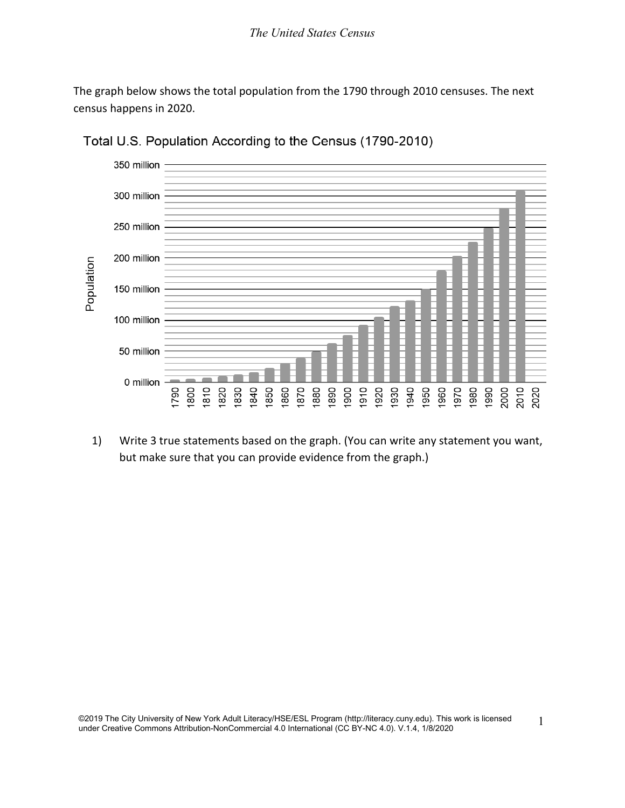The graph below shows the total population from the 1790 through 2010 censuses. The next census happens in 2020.



Total U.S. Population According to the Census (1790-2010)

1) Write 3 true statements based on the graph. (You can write any statement you want, but make sure that you can provide evidence from the graph.)